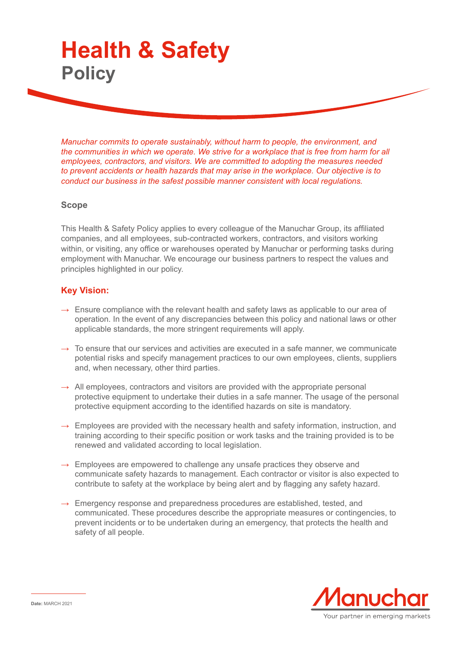## **Health & Safety Policy**

*Manuchar commits to operate sustainably, without harm to people, the environment, and the communities in which we operate. We strive for a workplace that is free from harm for all employees, contractors, and visitors. We are committed to adopting the measures needed to prevent accidents or health hazards that may arise in the workplace. Our objective is to conduct our business in the safest possible manner consistent with local regulations.* 

## **Scope**

This Health & Safety Policy applies to every colleague of the Manuchar Group, its affiliated companies, and all employees, sub-contracted workers, contractors, and visitors working within, or visiting, any office or warehouses operated by Manuchar or performing tasks during employment with Manuchar. We encourage our business partners to respect the values and principles highlighted in our policy.

## **Key Vision:**

- $\rightarrow$  Ensure compliance with the relevant health and safety laws as applicable to our area of operation. In the event of any discrepancies between this policy and national laws or other applicable standards, the more stringent requirements will apply.
- $\rightarrow$  To ensure that our services and activities are executed in a safe manner, we communicate potential risks and specify management practices to our own employees, clients, suppliers and, when necessary, other third parties.
- $\rightarrow$  All employees, contractors and visitors are provided with the appropriate personal protective equipment to undertake their duties in a safe manner. The usage of the personal protective equipment according to the identified hazards on site is mandatory.
- $\rightarrow$  Employees are provided with the necessary health and safety information, instruction, and training according to their specific position or work tasks and the training provided is to be renewed and validated according to local legislation.
- $\rightarrow$  Employees are empowered to challenge any unsafe practices they observe and communicate safety hazards to management. Each contractor or visitor is also expected to contribute to safety at the workplace by being alert and by flagging any safety hazard.
- $\rightarrow$  Emergency response and preparedness procedures are established, tested, and communicated. These procedures describe the appropriate measures or contingencies, to prevent incidents or to be undertaken during an emergency, that protects the health and safety of all people.